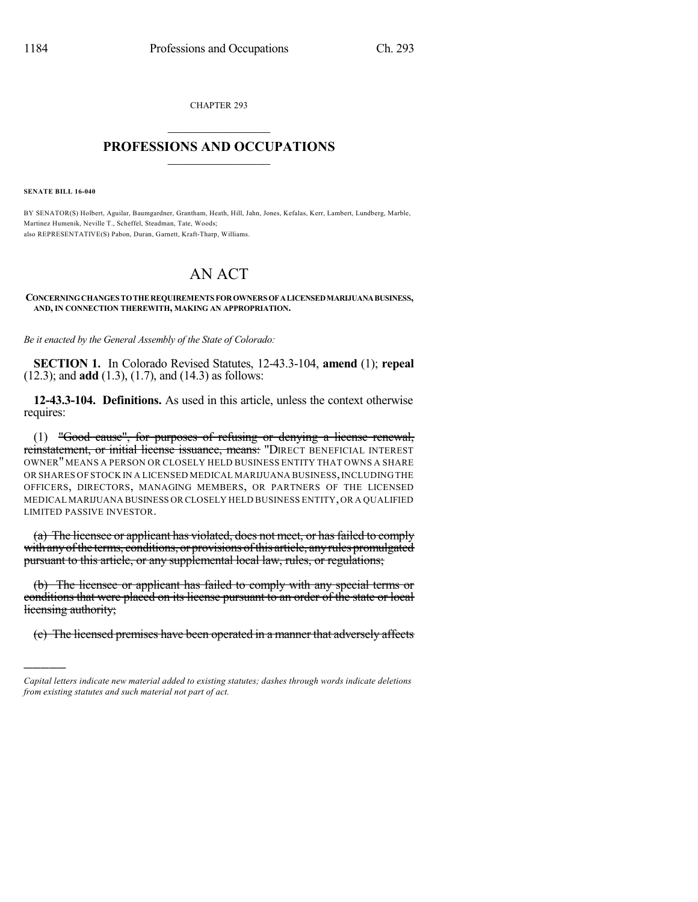CHAPTER 293  $\mathcal{L}_\text{max}$  . The set of the set of the set of the set of the set of the set of the set of the set of the set of the set of the set of the set of the set of the set of the set of the set of the set of the set of the set

## **PROFESSIONS AND OCCUPATIONS**  $\frac{1}{2}$  ,  $\frac{1}{2}$  ,  $\frac{1}{2}$  ,  $\frac{1}{2}$  ,  $\frac{1}{2}$  ,  $\frac{1}{2}$  ,  $\frac{1}{2}$

**SENATE BILL 16-040**

)))))

BY SENATOR(S) Holbert, Aguilar, Baumgardner, Grantham, Heath, Hill, Jahn, Jones, Kefalas, Kerr, Lambert, Lundberg, Marble, Martinez Humenik, Neville T., Scheffel, Steadman, Tate, Woods; also REPRESENTATIVE(S) Pabon, Duran, Garnett, Kraft-Tharp, Williams.

## AN ACT

## **CONCERNINGCHANGES TOTHEREQUIREMENTS FOROWNERS OFALICENSEDMARIJUANABUSINESS, AND, IN CONNECTION THEREWITH, MAKING AN APPROPRIATION.**

*Be it enacted by the General Assembly of the State of Colorado:*

**SECTION 1.** In Colorado Revised Statutes, 12-43.3-104, **amend** (1); **repeal** (12.3); and **add** (1.3), (1.7), and (14.3) as follows:

**12-43.3-104. Definitions.** As used in this article, unless the context otherwise requires:

(1) "Good cause", for purposes of refusing or denying a license renewal, reinstatement, or initial license issuance, means: "DIRECT BENEFICIAL INTEREST OWNER"MEANS A PERSON OR CLOSELY HELD BUSINESS ENTITY THAT OWNS A SHARE OR SHARES OF STOCK IN A LICENSED MEDICAL MARIJUANA BUSINESS,INCLUDING THE OFFICERS, DIRECTORS, MANAGING MEMBERS, OR PARTNERS OF THE LICENSED MEDICAL MARIJUANA BUSINESS OR CLOSELY HELD BUSINESS ENTITY,OR A QUALIFIED LIMITED PASSIVE INVESTOR.

(a) The licensee or applicant has violated, does not meet, or has failed to comply with any of the terms, conditions, or provisions of this article, any rules promulgated pursuant to this article, or any supplemental local law, rules, or regulations;

(b) The licensee or applicant has failed to comply with any special terms or conditions that were placed on its license pursuant to an order of the state or local licensing authority;

(c) The licensed premises have been operated in a manner that adversely affects

*Capital letters indicate new material added to existing statutes; dashes through words indicate deletions from existing statutes and such material not part of act.*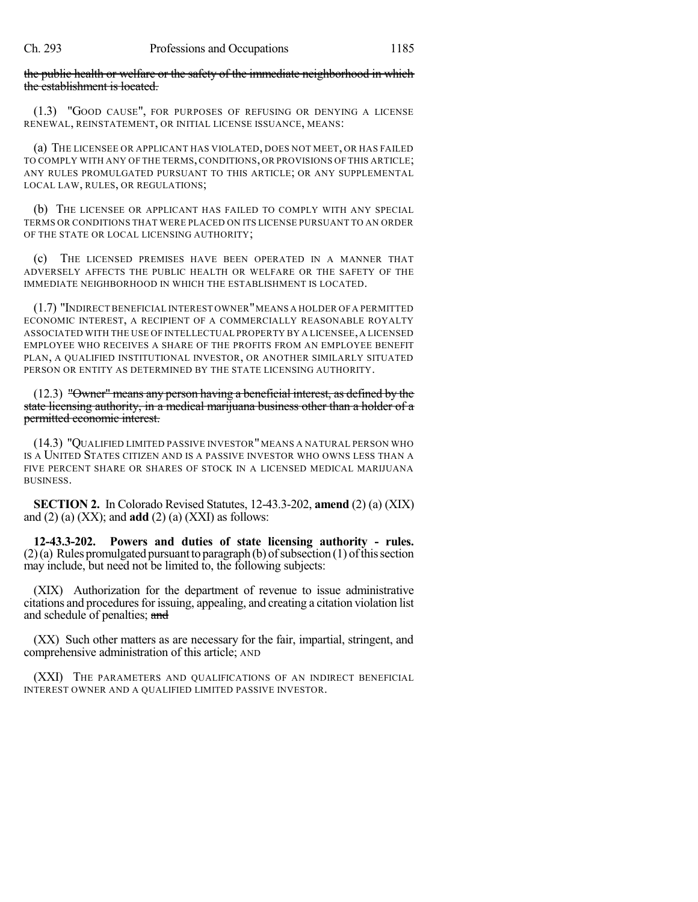the public health or welfare or the safety of the immediate neighborhood in which the establishment is located.

(1.3) "GOOD CAUSE", FOR PURPOSES OF REFUSING OR DENYING A LICENSE RENEWAL, REINSTATEMENT, OR INITIAL LICENSE ISSUANCE, MEANS:

(a) THE LICENSEE OR APPLICANT HAS VIOLATED, DOES NOT MEET, OR HAS FAILED TO COMPLY WITH ANY OF THE TERMS, CONDITIONS, OR PROVISIONS OF THIS ARTICLE; ANY RULES PROMULGATED PURSUANT TO THIS ARTICLE; OR ANY SUPPLEMENTAL LOCAL LAW, RULES, OR REGULATIONS;

(b) THE LICENSEE OR APPLICANT HAS FAILED TO COMPLY WITH ANY SPECIAL TERMS OR CONDITIONS THAT WERE PLACED ON ITS LICENSE PURSUANT TO AN ORDER OF THE STATE OR LOCAL LICENSING AUTHORITY;

(c) THE LICENSED PREMISES HAVE BEEN OPERATED IN A MANNER THAT ADVERSELY AFFECTS THE PUBLIC HEALTH OR WELFARE OR THE SAFETY OF THE IMMEDIATE NEIGHBORHOOD IN WHICH THE ESTABLISHMENT IS LOCATED.

(1.7) "INDIRECT BENEFICIAL INTEREST OWNER"MEANS A HOLDER OF A PERMITTED ECONOMIC INTEREST, A RECIPIENT OF A COMMERCIALLY REASONABLE ROYALTY ASSOCIATED WITH THE USE OF INTELLECTUAL PROPERTY BY A LICENSEE,A LICENSED EMPLOYEE WHO RECEIVES A SHARE OF THE PROFITS FROM AN EMPLOYEE BENEFIT PLAN, A QUALIFIED INSTITUTIONAL INVESTOR, OR ANOTHER SIMILARLY SITUATED PERSON OR ENTITY AS DETERMINED BY THE STATE LICENSING AUTHORITY.

(12.3) "Owner" means any person having a beneficial interest, as defined by the state licensing authority, in a medical marijuana business other than a holder of a permitted economic interest.

(14.3) "QUALIFIED LIMITED PASSIVE INVESTOR"MEANS A NATURAL PERSON WHO IS A UNITED STATES CITIZEN AND IS A PASSIVE INVESTOR WHO OWNS LESS THAN A FIVE PERCENT SHARE OR SHARES OF STOCK IN A LICENSED MEDICAL MARIJUANA BUSINESS.

**SECTION 2.** In Colorado Revised Statutes, 12-43.3-202, **amend** (2) (a) (XIX) and  $(2)$  (a)  $(XX)$ ; and **add**  $(2)$  (a)  $(XXI)$  as follows:

**12-43.3-202. Powers and duties of state licensing authority - rules.**  $(2)(a)$  Rules promulgated pursuant to paragraph (b) of subsection (1) of this section may include, but need not be limited to, the following subjects:

(XIX) Authorization for the department of revenue to issue administrative citations and procedures for issuing, appealing, and creating a citation violation list and schedule of penalties; and

(XX) Such other matters as are necessary for the fair, impartial, stringent, and comprehensive administration of this article; AND

(XXI) THE PARAMETERS AND QUALIFICATIONS OF AN INDIRECT BENEFICIAL INTEREST OWNER AND A QUALIFIED LIMITED PASSIVE INVESTOR.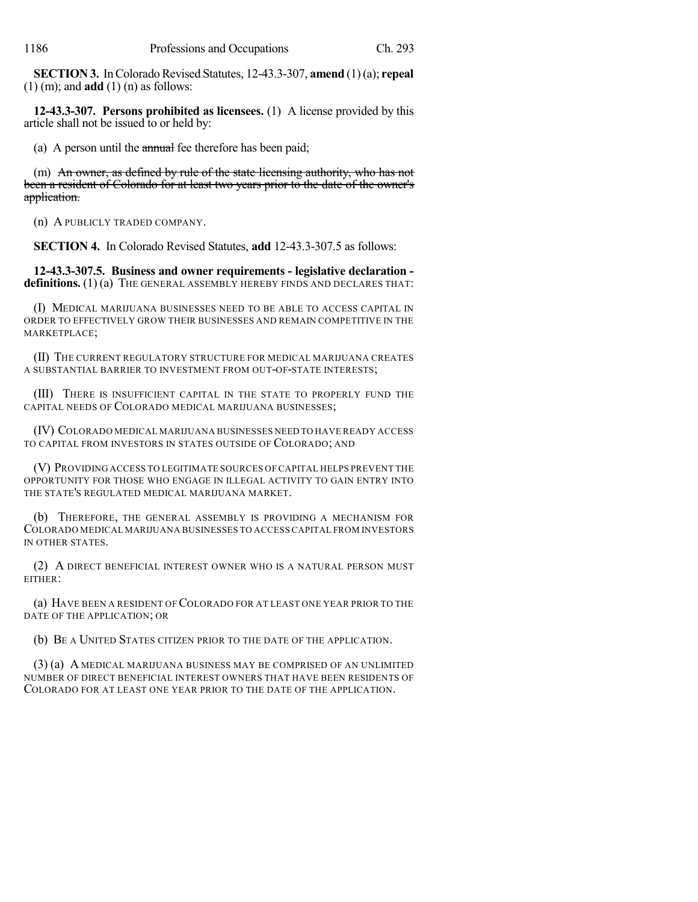**SECTION 3.** In Colorado Revised Statutes, 12-43.3-307, **amend** (1)(a); **repeal** (1) (m); and **add** (1) (n) as follows:

**12-43.3-307. Persons prohibited as licensees.** (1) A license provided by this article shall not be issued to or held by:

(a) A person until the *annual* fee therefore has been paid;

(m) An owner, as defined by rule of the state licensing authority, who has not been a resident of Colorado for at least two years prior to the date of the owner's application.

(n) A PUBLICLY TRADED COMPANY.

**SECTION 4.** In Colorado Revised Statutes, **add** 12-43.3-307.5 as follows:

**12-43.3-307.5. Business and owner requirements - legislative declaration**  definitions. (1) (a) THE GENERAL ASSEMBLY HEREBY FINDS AND DECLARES THAT:

(I) MEDICAL MARIJUANA BUSINESSES NEED TO BE ABLE TO ACCESS CAPITAL IN ORDER TO EFFECTIVELY GROW THEIR BUSINESSES AND REMAIN COMPETITIVE IN THE MARKETPLACE;

(II) THE CURRENT REGULATORY STRUCTURE FOR MEDICAL MARIJUANA CREATES A SUBSTANTIAL BARRIER TO INVESTMENT FROM OUT-OF-STATE INTERESTS;

(III) THERE IS INSUFFICIENT CAPITAL IN THE STATE TO PROPERLY FUND THE CAPITAL NEEDS OF COLORADO MEDICAL MARIJUANA BUSINESSES;

(IV) COLORADO MEDICAL MARIJUANA BUSINESSES NEED TO HAVE READY ACCESS TO CAPITAL FROM INVESTORS IN STATES OUTSIDE OF COLORADO; AND

(V) PROVIDING ACCESS TO LEGITIMATE SOURCES OF CAPITAL HELPS PREVENT THE OPPORTUNITY FOR THOSE WHO ENGAGE IN ILLEGAL ACTIVITY TO GAIN ENTRY INTO THE STATE'S REGULATED MEDICAL MARIJUANA MARKET.

(b) THEREFORE, THE GENERAL ASSEMBLY IS PROVIDING A MECHANISM FOR COLORADO MEDICAL MARIJUANA BUSINESSES TO ACCESS CAPITAL FROM INVESTORS IN OTHER STATES.

(2) A DIRECT BENEFICIAL INTEREST OWNER WHO IS A NATURAL PERSON MUST EITHER:

(a) HAVE BEEN A RESIDENT OF COLORADO FOR AT LEAST ONE YEAR PRIOR TO THE DATE OF THE APPLICATION; OR

(b) BE A UNITED STATES CITIZEN PRIOR TO THE DATE OF THE APPLICATION.

(3) (a) A MEDICAL MARIJUANA BUSINESS MAY BE COMPRISED OF AN UNLIMITED NUMBER OF DIRECT BENEFICIAL INTEREST OWNERS THAT HAVE BEEN RESIDENTS OF COLORADO FOR AT LEAST ONE YEAR PRIOR TO THE DATE OF THE APPLICATION.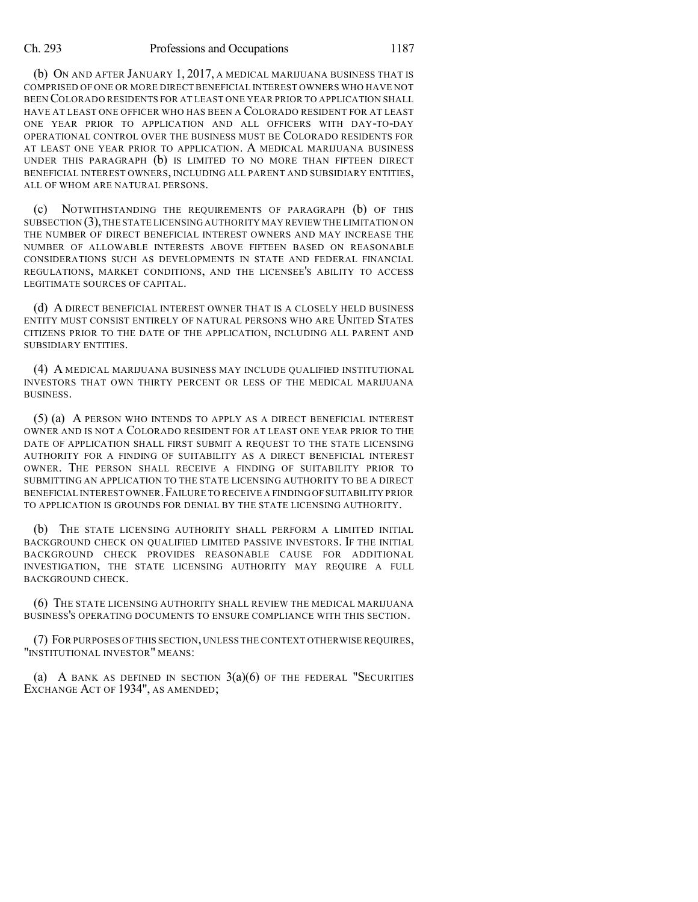## Ch. 293 Professions and Occupations 1187

(b) ON AND AFTER JANUARY 1, 2017, A MEDICAL MARIJUANA BUSINESS THAT IS COMPRISED OF ONE OR MORE DIRECT BENEFICIAL INTEREST OWNERS WHO HAVE NOT BEEN COLORADO RESIDENTS FOR AT LEAST ONE YEAR PRIOR TO APPLICATION SHALL HAVE AT LEAST ONE OFFICER WHO HAS BEEN A COLORADO RESIDENT FOR AT LEAST ONE YEAR PRIOR TO APPLICATION AND ALL OFFICERS WITH DAY-TO-DAY OPERATIONAL CONTROL OVER THE BUSINESS MUST BE COLORADO RESIDENTS FOR AT LEAST ONE YEAR PRIOR TO APPLICATION. A MEDICAL MARIJUANA BUSINESS UNDER THIS PARAGRAPH (b) IS LIMITED TO NO MORE THAN FIFTEEN DIRECT BENEFICIAL INTEREST OWNERS, INCLUDING ALL PARENT AND SUBSIDIARY ENTITIES, ALL OF WHOM ARE NATURAL PERSONS.

(c) NOTWITHSTANDING THE REQUIREMENTS OF PARAGRAPH (b) OF THIS SUBSECTION  $(3)$ , THE STATE LICENSING AUTHORITY MAY REVIEW THE LIMITATION ON THE NUMBER OF DIRECT BENEFICIAL INTEREST OWNERS AND MAY INCREASE THE NUMBER OF ALLOWABLE INTERESTS ABOVE FIFTEEN BASED ON REASONABLE CONSIDERATIONS SUCH AS DEVELOPMENTS IN STATE AND FEDERAL FINANCIAL REGULATIONS, MARKET CONDITIONS, AND THE LICENSEE'S ABILITY TO ACCESS LEGITIMATE SOURCES OF CAPITAL.

(d) A DIRECT BENEFICIAL INTEREST OWNER THAT IS A CLOSELY HELD BUSINESS ENTITY MUST CONSIST ENTIRELY OF NATURAL PERSONS WHO ARE UNITED STATES CITIZENS PRIOR TO THE DATE OF THE APPLICATION, INCLUDING ALL PARENT AND SUBSIDIARY ENTITIES.

(4) A MEDICAL MARIJUANA BUSINESS MAY INCLUDE QUALIFIED INSTITUTIONAL INVESTORS THAT OWN THIRTY PERCENT OR LESS OF THE MEDICAL MARIJUANA BUSINESS.

(5) (a) A PERSON WHO INTENDS TO APPLY AS A DIRECT BENEFICIAL INTEREST OWNER AND IS NOT A COLORADO RESIDENT FOR AT LEAST ONE YEAR PRIOR TO THE DATE OF APPLICATION SHALL FIRST SUBMIT A REQUEST TO THE STATE LICENSING AUTHORITY FOR A FINDING OF SUITABILITY AS A DIRECT BENEFICIAL INTEREST OWNER. THE PERSON SHALL RECEIVE A FINDING OF SUITABILITY PRIOR TO SUBMITTING AN APPLICATION TO THE STATE LICENSING AUTHORITY TO BE A DIRECT BENEFICIAL INTEREST OWNER.FAILURE TO RECEIVE A FINDING OF SUITABILITY PRIOR TO APPLICATION IS GROUNDS FOR DENIAL BY THE STATE LICENSING AUTHORITY.

(b) THE STATE LICENSING AUTHORITY SHALL PERFORM A LIMITED INITIAL BACKGROUND CHECK ON QUALIFIED LIMITED PASSIVE INVESTORS. IF THE INITIAL BACKGROUND CHECK PROVIDES REASONABLE CAUSE FOR ADDITIONAL INVESTIGATION, THE STATE LICENSING AUTHORITY MAY REQUIRE A FULL BACKGROUND CHECK.

(6) THE STATE LICENSING AUTHORITY SHALL REVIEW THE MEDICAL MARIJUANA BUSINESS'S OPERATING DOCUMENTS TO ENSURE COMPLIANCE WITH THIS SECTION.

(7) FOR PURPOSES OF THIS SECTION, UNLESS THE CONTEXT OTHERWISE REQUIRES, "INSTITUTIONAL INVESTOR" MEANS:

(a) A BANK AS DEFINED IN SECTION  $3(a)(6)$  of the federal "Securities EXCHANGE ACT OF 1934", AS AMENDED;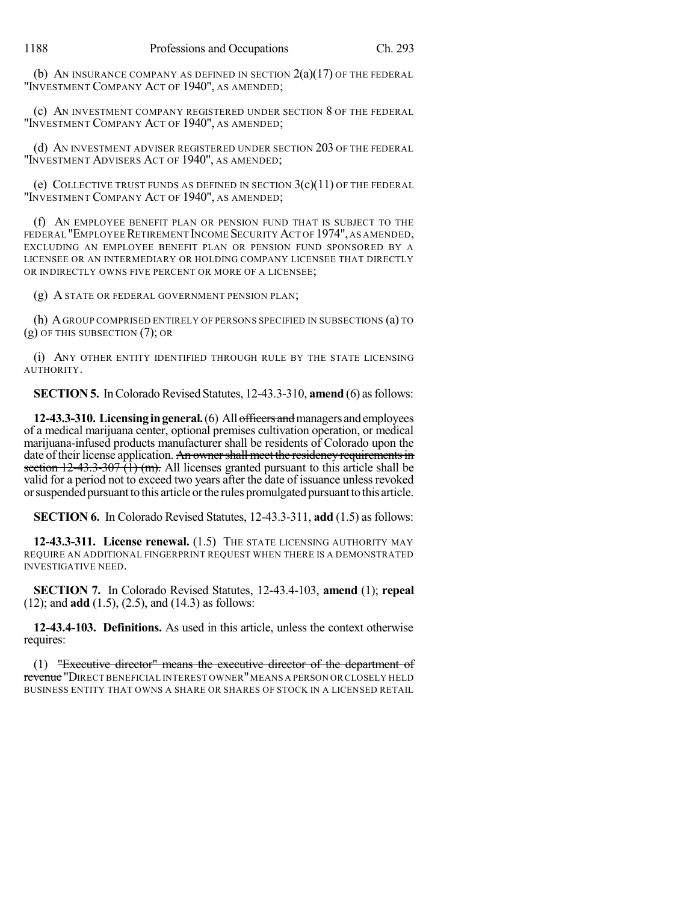(b) AN INSURANCE COMPANY AS DEFINED IN SECTION  $2(a)(17)$  of the federal "INVESTMENT COMPANY ACT OF 1940", AS AMENDED;

(c) AN INVESTMENT COMPANY REGISTERED UNDER SECTION 8 OF THE FEDERAL "INVESTMENT COMPANY ACT OF 1940", AS AMENDED;

(d) AN INVESTMENT ADVISER REGISTERED UNDER SECTION 203 OF THE FEDERAL "INVESTMENT ADVISERS ACT OF 1940", AS AMENDED;

(e) COLLECTIVE TRUST FUNDS AS DEFINED IN SECTION 3(c)(11) OF THE FEDERAL "INVESTMENT COMPANY ACT OF 1940", AS AMENDED;

(f) AN EMPLOYEE BENEFIT PLAN OR PENSION FUND THAT IS SUBJECT TO THE FEDERAL "EMPLOYEE RETIREMENT INCOME SECURITY ACT OF 1974", AS AMENDED, EXCLUDING AN EMPLOYEE BENEFIT PLAN OR PENSION FUND SPONSORED BY A LICENSEE OR AN INTERMEDIARY OR HOLDING COMPANY LICENSEE THAT DIRECTLY OR INDIRECTLY OWNS FIVE PERCENT OR MORE OF A LICENSEE;

(g) A STATE OR FEDERAL GOVERNMENT PENSION PLAN;

(h) AGROUP COMPRISED ENTIRELY OF PERSONS SPECIFIED IN SUBSECTIONS (a) TO (g) OF THIS SUBSECTION (7); OR

(i) ANY OTHER ENTITY IDENTIFIED THROUGH RULE BY THE STATE LICENSING AUTHORITY.

**SECTION 5.** In Colorado Revised Statutes, 12-43.3-310, **amend** (6) as follows:

**12-43.3-310. Licensing in general.** (6) All officers and managers and employees of a medical marijuana center, optional premises cultivation operation, or medical marijuana-infused products manufacturer shall be residents of Colorado upon the date of their license application. An owner shall meet the residency requirements in section  $12-43.3-307$   $(\hat{1})$  (m). All licenses granted pursuant to this article shall be valid for a period not to exceed two years after the date of issuance unless revoked orsuspendedpursuantto this article orthe rules promulgatedpursuanttothis article.

**SECTION 6.** In Colorado Revised Statutes, 12-43.3-311, **add** (1.5) as follows:

**12-43.3-311. License renewal.** (1.5) THE STATE LICENSING AUTHORITY MAY REQUIRE AN ADDITIONAL FINGERPRINT REQUEST WHEN THERE IS A DEMONSTRATED INVESTIGATIVE NEED.

**SECTION 7.** In Colorado Revised Statutes, 12-43.4-103, **amend** (1); **repeal** (12); and **add** (1.5), (2.5), and (14.3) as follows:

**12-43.4-103. Definitions.** As used in this article, unless the context otherwise requires:

(1) "Executive director" means the executive director of the department of revenue "DIRECT BENEFICIAL INTEREST OWNER"MEANS A PERSON OR CLOSELY HELD BUSINESS ENTITY THAT OWNS A SHARE OR SHARES OF STOCK IN A LICENSED RETAIL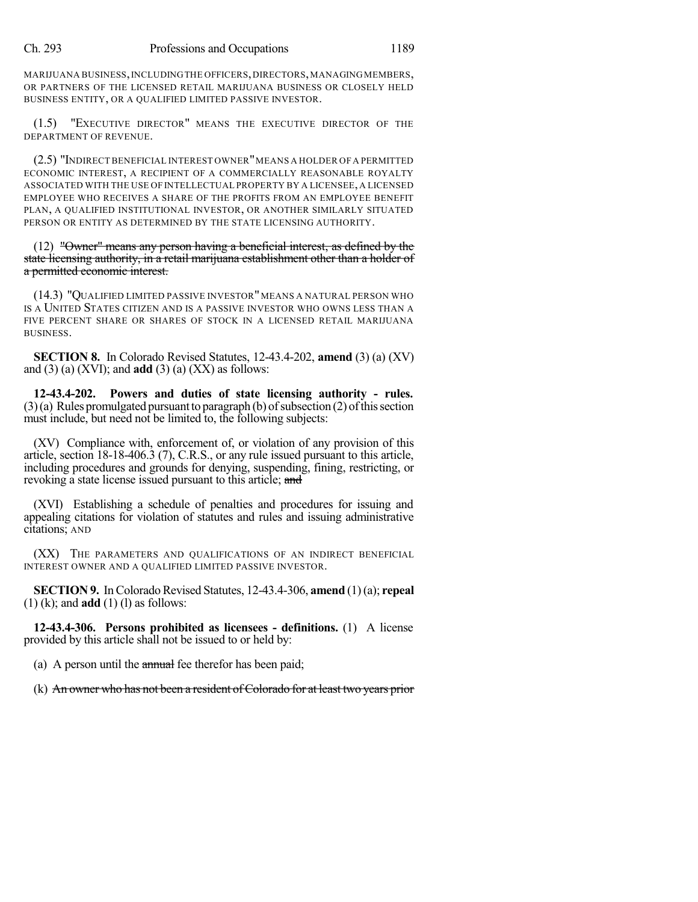MARIJUANA BUSINESS, INCLUDING THE OFFICERS, DIRECTORS, MANAGING MEMBERS, OR PARTNERS OF THE LICENSED RETAIL MARIJUANA BUSINESS OR CLOSELY HELD BUSINESS ENTITY, OR A QUALIFIED LIMITED PASSIVE INVESTOR.

(1.5) "EXECUTIVE DIRECTOR" MEANS THE EXECUTIVE DIRECTOR OF THE DEPARTMENT OF REVENUE.

(2.5) "INDIRECT BENEFICIAL INTEREST OWNER"MEANS A HOLDER OF A PERMITTED ECONOMIC INTEREST, A RECIPIENT OF A COMMERCIALLY REASONABLE ROYALTY ASSOCIATED WITH THE USE OF INTELLECTUAL PROPERTY BY A LICENSEE, A LICENSED EMPLOYEE WHO RECEIVES A SHARE OF THE PROFITS FROM AN EMPLOYEE BENEFIT PLAN, A QUALIFIED INSTITUTIONAL INVESTOR, OR ANOTHER SIMILARLY SITUATED PERSON OR ENTITY AS DETERMINED BY THE STATE LICENSING AUTHORITY.

(12) "Owner" means any person having a beneficial interest, as defined by the state licensing authority, in a retail marijuana establishment other than a holder of a permitted economic interest.

(14.3) "QUALIFIED LIMITED PASSIVE INVESTOR"MEANS A NATURAL PERSON WHO IS A UNITED STATES CITIZEN AND IS A PASSIVE INVESTOR WHO OWNS LESS THAN A FIVE PERCENT SHARE OR SHARES OF STOCK IN A LICENSED RETAIL MARIJUANA BUSINESS.

**SECTION 8.** In Colorado Revised Statutes, 12-43.4-202, **amend** (3) (a) (XV) and  $(3)$  (a)  $(XVI)$ ; and **add**  $(3)$  (a)  $(XX)$  as follows:

**12-43.4-202. Powers and duties of state licensing authority - rules.**  $(3)(a)$  Rules promulgated pursuant to paragraph (b) of subsection  $(2)$  of this section must include, but need not be limited to, the following subjects:

(XV) Compliance with, enforcement of, or violation of any provision of this article, section 18-18-406.3 (7), C.R.S., or any rule issued pursuant to this article, including procedures and grounds for denying, suspending, fining, restricting, or revoking a state license issued pursuant to this article; and

(XVI) Establishing a schedule of penalties and procedures for issuing and appealing citations for violation of statutes and rules and issuing administrative citations; AND

(XX) THE PARAMETERS AND QUALIFICATIONS OF AN INDIRECT BENEFICIAL INTEREST OWNER AND A QUALIFIED LIMITED PASSIVE INVESTOR.

**SECTION 9.** In Colorado Revised Statutes, 12-43.4-306, **amend** (1)(a); **repeal** (1) (k); and **add** (1) (l) as follows:

**12-43.4-306. Persons prohibited as licensees - definitions.** (1) A license provided by this article shall not be issued to or held by:

(a) A person until the annual fee therefor has been paid;

(k) An owner who has not been a resident of Colorado for at least two years prior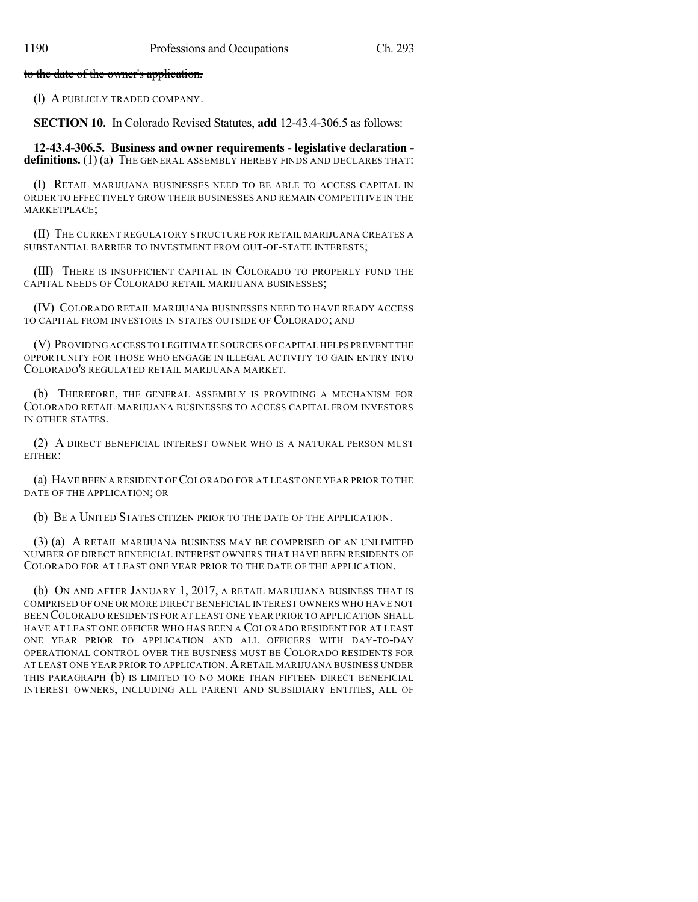to the date of the owner's application.

(l) A PUBLICLY TRADED COMPANY.

**SECTION 10.** In Colorado Revised Statutes, **add** 12-43.4-306.5 as follows:

**12-43.4-306.5. Business and owner requirements - legislative declaration**  definitions. (1) (a) THE GENERAL ASSEMBLY HEREBY FINDS AND DECLARES THAT:

(I) RETAIL MARIJUANA BUSINESSES NEED TO BE ABLE TO ACCESS CAPITAL IN ORDER TO EFFECTIVELY GROW THEIR BUSINESSES AND REMAIN COMPETITIVE IN THE MARKETPLACE;

(II) THE CURRENT REGULATORY STRUCTURE FOR RETAIL MARIJUANA CREATES A SUBSTANTIAL BARRIER TO INVESTMENT FROM OUT-OF-STATE INTERESTS;

(III) THERE IS INSUFFICIENT CAPITAL IN COLORADO TO PROPERLY FUND THE CAPITAL NEEDS OF COLORADO RETAIL MARIJUANA BUSINESSES;

(IV) COLORADO RETAIL MARIJUANA BUSINESSES NEED TO HAVE READY ACCESS TO CAPITAL FROM INVESTORS IN STATES OUTSIDE OF COLORADO; AND

(V) PROVIDING ACCESS TO LEGITIMATE SOURCES OFCAPITAL HELPS PREVENT THE OPPORTUNITY FOR THOSE WHO ENGAGE IN ILLEGAL ACTIVITY TO GAIN ENTRY INTO COLORADO'S REGULATED RETAIL MARIJUANA MARKET.

(b) THEREFORE, THE GENERAL ASSEMBLY IS PROVIDING A MECHANISM FOR COLORADO RETAIL MARIJUANA BUSINESSES TO ACCESS CAPITAL FROM INVESTORS IN OTHER STATES.

(2) A DIRECT BENEFICIAL INTEREST OWNER WHO IS A NATURAL PERSON MUST EITHER:

(a) HAVE BEEN A RESIDENT OF COLORADO FOR AT LEAST ONE YEAR PRIOR TO THE DATE OF THE APPLICATION; OR

(b) BE A UNITED STATES CITIZEN PRIOR TO THE DATE OF THE APPLICATION.

(3) (a) A RETAIL MARIJUANA BUSINESS MAY BE COMPRISED OF AN UNLIMITED NUMBER OF DIRECT BENEFICIAL INTEREST OWNERS THAT HAVE BEEN RESIDENTS OF COLORADO FOR AT LEAST ONE YEAR PRIOR TO THE DATE OF THE APPLICATION.

(b) ON AND AFTER JANUARY 1, 2017, A RETAIL MARIJUANA BUSINESS THAT IS COMPRISED OF ONE OR MORE DIRECT BENEFICIAL INTEREST OWNERS WHO HAVE NOT BEEN COLORADO RESIDENTS FOR AT LEAST ONE YEAR PRIOR TO APPLICATION SHALL HAVE AT LEAST ONE OFFICER WHO HAS BEEN A COLORADO RESIDENT FOR AT LEAST ONE YEAR PRIOR TO APPLICATION AND ALL OFFICERS WITH DAY-TO-DAY OPERATIONAL CONTROL OVER THE BUSINESS MUST BE COLORADO RESIDENTS FOR AT LEAST ONE YEAR PRIOR TO APPLICATION.ARETAIL MARIJUANA BUSINESS UNDER THIS PARAGRAPH (b) IS LIMITED TO NO MORE THAN FIFTEEN DIRECT BENEFICIAL INTEREST OWNERS, INCLUDING ALL PARENT AND SUBSIDIARY ENTITIES, ALL OF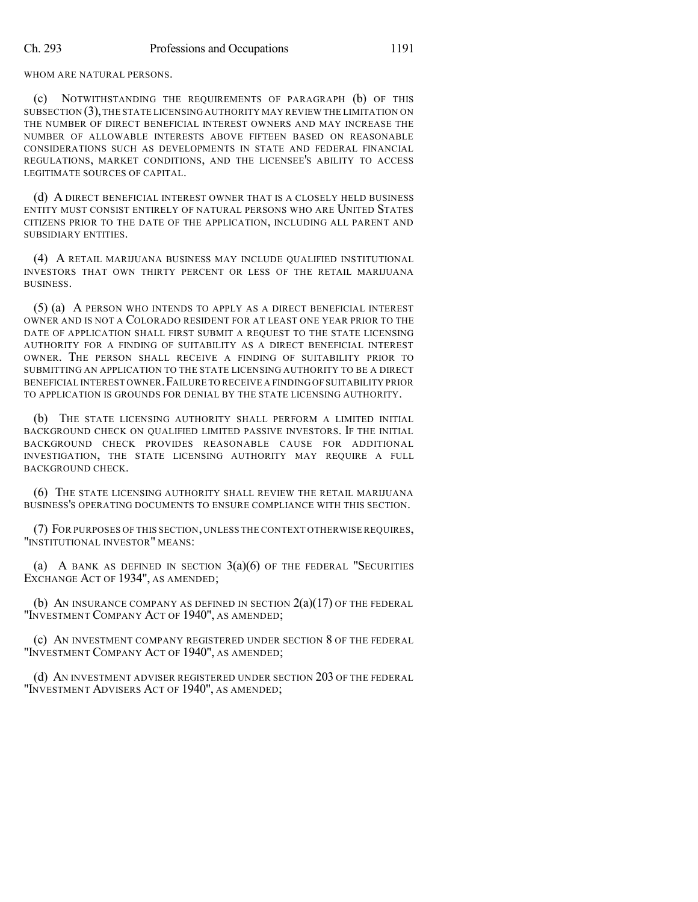WHOM ARE NATURAL PERSONS.

NOTWITHSTANDING THE REQUIREMENTS OF PARAGRAPH (b) OF THIS SUBSECTION (3),THE STATE LICENSING AUTHORITY MAY REVIEW THE LIMITATION ON THE NUMBER OF DIRECT BENEFICIAL INTEREST OWNERS AND MAY INCREASE THE NUMBER OF ALLOWABLE INTERESTS ABOVE FIFTEEN BASED ON REASONABLE CONSIDERATIONS SUCH AS DEVELOPMENTS IN STATE AND FEDERAL FINANCIAL REGULATIONS, MARKET CONDITIONS, AND THE LICENSEE'S ABILITY TO ACCESS LEGITIMATE SOURCES OF CAPITAL.

(d) A DIRECT BENEFICIAL INTEREST OWNER THAT IS A CLOSELY HELD BUSINESS ENTITY MUST CONSIST ENTIRELY OF NATURAL PERSONS WHO ARE UNITED STATES CITIZENS PRIOR TO THE DATE OF THE APPLICATION, INCLUDING ALL PARENT AND SUBSIDIARY ENTITIES.

(4) A RETAIL MARIJUANA BUSINESS MAY INCLUDE QUALIFIED INSTITUTIONAL INVESTORS THAT OWN THIRTY PERCENT OR LESS OF THE RETAIL MARIJUANA BUSINESS.

(5) (a) A PERSON WHO INTENDS TO APPLY AS A DIRECT BENEFICIAL INTEREST OWNER AND IS NOT A COLORADO RESIDENT FOR AT LEAST ONE YEAR PRIOR TO THE DATE OF APPLICATION SHALL FIRST SUBMIT A REQUEST TO THE STATE LICENSING AUTHORITY FOR A FINDING OF SUITABILITY AS A DIRECT BENEFICIAL INTEREST OWNER. THE PERSON SHALL RECEIVE A FINDING OF SUITABILITY PRIOR TO SUBMITTING AN APPLICATION TO THE STATE LICENSING AUTHORITY TO BE A DIRECT BENEFICIAL INTEREST OWNER.FAILURE TO RECEIVE A FINDING OF SUITABILITY PRIOR TO APPLICATION IS GROUNDS FOR DENIAL BY THE STATE LICENSING AUTHORITY.

(b) THE STATE LICENSING AUTHORITY SHALL PERFORM A LIMITED INITIAL BACKGROUND CHECK ON QUALIFIED LIMITED PASSIVE INVESTORS. IF THE INITIAL BACKGROUND CHECK PROVIDES REASONABLE CAUSE FOR ADDITIONAL INVESTIGATION, THE STATE LICENSING AUTHORITY MAY REQUIRE A FULL BACKGROUND CHECK.

(6) THE STATE LICENSING AUTHORITY SHALL REVIEW THE RETAIL MARIJUANA BUSINESS'S OPERATING DOCUMENTS TO ENSURE COMPLIANCE WITH THIS SECTION.

(7) FOR PURPOSES OF THIS SECTION, UNLESS THE CONTEXT OTHERWISE REQUIRES, "INSTITUTIONAL INVESTOR" MEANS:

(a) A BANK AS DEFINED IN SECTION  $3(a)(6)$  of the Federal "Securities" EXCHANGE ACT OF 1934", AS AMENDED;

(b) AN INSURANCE COMPANY AS DEFINED IN SECTION  $2(a)(17)$  of the federal "INVESTMENT COMPANY ACT OF 1940", AS AMENDED;

(c) AN INVESTMENT COMPANY REGISTERED UNDER SECTION 8 OF THE FEDERAL "INVESTMENT COMPANY ACT OF 1940", AS AMENDED;

(d) AN INVESTMENT ADVISER REGISTERED UNDER SECTION 203 OF THE FEDERAL "INVESTMENT ADVISERS ACT OF 1940", AS AMENDED;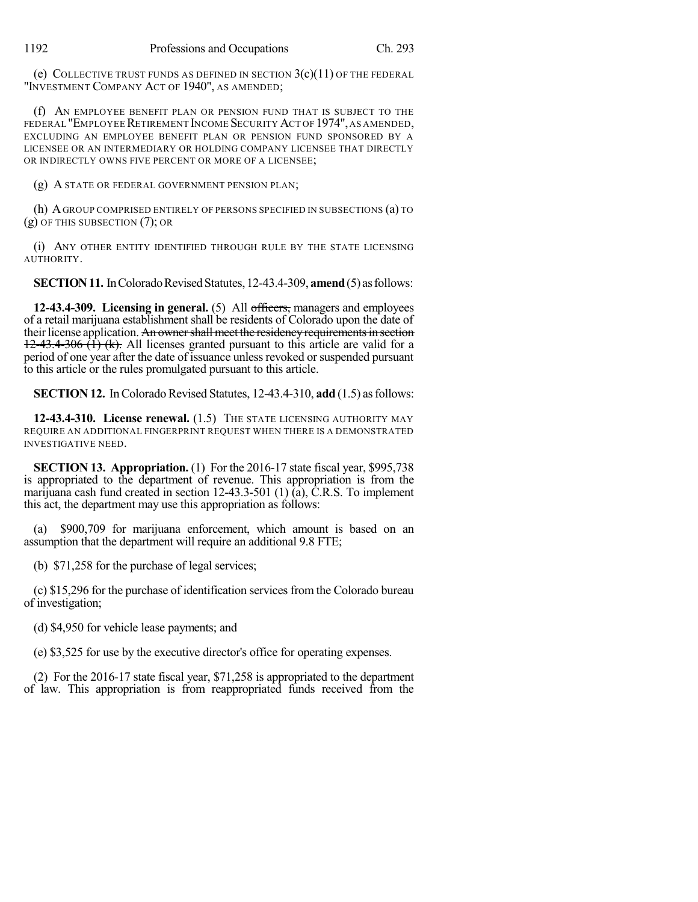(e) COLLECTIVE TRUST FUNDS AS DEFINED IN SECTION  $3(c)(11)$  of the Federal "INVESTMENT COMPANY ACT OF 1940", AS AMENDED;

(f) AN EMPLOYEE BENEFIT PLAN OR PENSION FUND THAT IS SUBJECT TO THE FEDERAL "EMPLOYEE RETIREMENT INCOME SECURITY ACT OF 1974", AS AMENDED, EXCLUDING AN EMPLOYEE BENEFIT PLAN OR PENSION FUND SPONSORED BY A LICENSEE OR AN INTERMEDIARY OR HOLDING COMPANY LICENSEE THAT DIRECTLY OR INDIRECTLY OWNS FIVE PERCENT OR MORE OF A LICENSEE;

(g) A STATE OR FEDERAL GOVERNMENT PENSION PLAN;

(h) AGROUP COMPRISED ENTIRELY OF PERSONS SPECIFIED IN SUBSECTIONS (a) TO (g) OF THIS SUBSECTION (7); OR

(i) ANY OTHER ENTITY IDENTIFIED THROUGH RULE BY THE STATE LICENSING AUTHORITY.

**SECTION 11.** In Colorado Revised Statutes, 12-43.4-309, **amend** (5) as follows:

**12-43.4-309. Licensing in general.** (5) All officers, managers and employees of a retail marijuana establishment shall be residents of Colorado upon the date of their license application. An owner shall meet the residency requirements in section  $12-43.4-306$   $(\hat{1})$  (k). All licenses granted pursuant to this article are valid for a period of one year after the date of issuance unless revoked or suspended pursuant to this article or the rules promulgated pursuant to this article.

**SECTION 12.** In Colorado Revised Statutes, 12-43.4-310, **add** (1.5) as follows:

**12-43.4-310. License renewal.** (1.5) THE STATE LICENSING AUTHORITY MAY REQUIRE AN ADDITIONAL FINGERPRINT REQUEST WHEN THERE IS A DEMONSTRATED INVESTIGATIVE NEED.

**SECTION 13. Appropriation.** (1) For the 2016-17 state fiscal year, \$995,738 is appropriated to the department of revenue. This appropriation is from the marijuana cash fund created in section 12-43.3-501 (1) (a), C.R.S. To implement this act, the department may use this appropriation as follows:

(a) \$900,709 for marijuana enforcement, which amount is based on an assumption that the department will require an additional 9.8 FTE;

(b) \$71,258 for the purchase of legal services;

(c) \$15,296 for the purchase of identification services from the Colorado bureau of investigation;

(d) \$4,950 for vehicle lease payments; and

(e) \$3,525 for use by the executive director's office for operating expenses.

(2) For the 2016-17 state fiscal year, \$71,258 is appropriated to the department of law. This appropriation is from reappropriated funds received from the